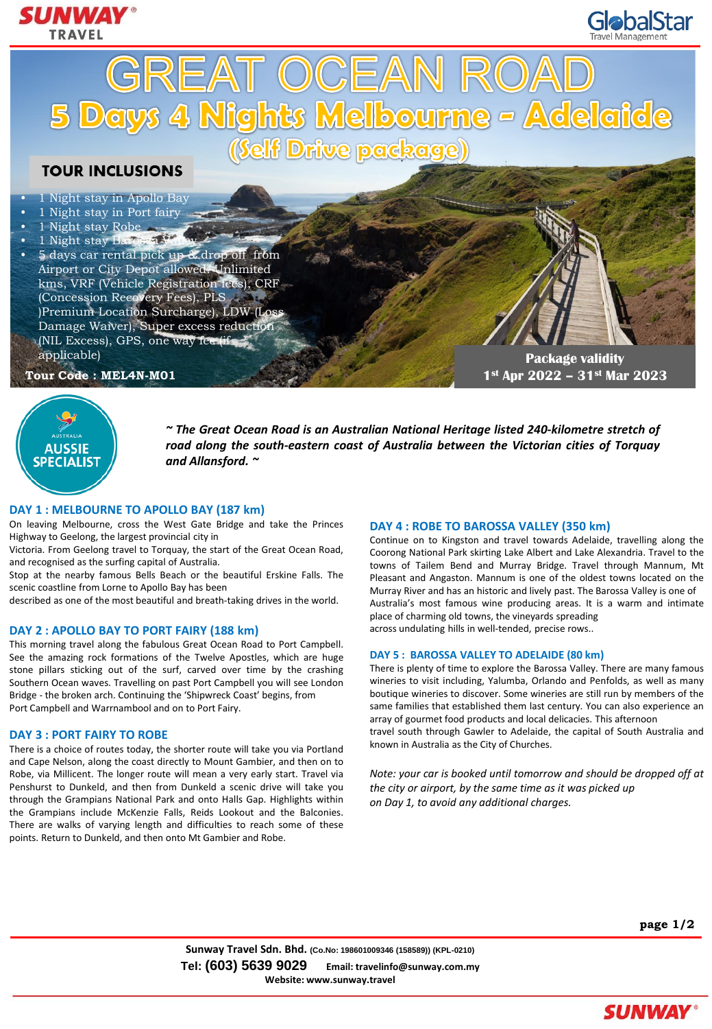







*~ The Great Ocean Road is an Australian National Heritage listed 240-kilometre stretch of road along the south-eastern coast of Australia between the Victorian cities of Torquay and Allansford. ~*

### **DAY 1 : MELBOURNE TO APOLLO BAY (187 km)**

On leaving Melbourne, cross the West Gate Bridge and take the Princes Highway to Geelong, the largest provincial city in

Victoria. From Geelong travel to Torquay, the start of the Great Ocean Road, and recognised as the surfing capital of Australia.

Stop at the nearby famous Bells Beach or the beautiful Erskine Falls. The scenic coastline from Lorne to Apollo Bay has been

described as one of the most beautiful and breath-taking drives in the world.

### **DAY 2 : APOLLO BAY TO PORT FAIRY (188 km)**

This morning travel along the fabulous Great Ocean Road to Port Campbell. See the amazing rock formations of the Twelve Apostles, which are huge stone pillars sticking out of the surf, carved over time by the crashing Southern Ocean waves. Travelling on past Port Campbell you will see London Bridge - the broken arch. Continuing the 'Shipwreck Coast' begins, from Port Campbell and Warrnambool and on to Port Fairy.

### **DAY 3 : PORT FAIRY TO ROBE**

There is a choice of routes today, the shorter route will take you via Portland and Cape Nelson, along the coast directly to Mount Gambier, and then on to Robe, via Millicent. The longer route will mean a very early start. Travel via Penshurst to Dunkeld, and then from Dunkeld a scenic drive will take you through the Grampians National Park and onto Halls Gap. Highlights within the Grampians include McKenzie Falls, Reids Lookout and the Balconies. There are walks of varying length and difficulties to reach some of these points. Return to Dunkeld, and then onto Mt Gambier and Robe.

# **DAY 4 : ROBE TO BAROSSA VALLEY (350 km)**

Continue on to Kingston and travel towards Adelaide, travelling along the Coorong National Park skirting Lake Albert and Lake Alexandria. Travel to the towns of Tailem Bend and Murray Bridge. Travel through Mannum, Mt Pleasant and Angaston. Mannum is one of the oldest towns located on the Murray River and has an historic and lively past. The Barossa Valley is one of Australia's most famous wine producing areas. It is a warm and intimate place of charming old towns, the vineyards spreading across undulating hills in well-tended, precise rows..

# **DAY 5 : BAROSSA VALLEY TO ADELAIDE (80 km)**

There is plenty of time to explore the Barossa Valley. There are many famous wineries to visit including, Yalumba, Orlando and Penfolds, as well as many boutique wineries to discover. Some wineries are still run by members of the same families that established them last century. You can also experience an array of gourmet food products and local delicacies. This afternoon travel south through Gawler to Adelaide, the capital of South Australia and known in Australia as the City of Churches.

*Note: your car is booked until tomorrow and should be dropped off at the city or airport, by the same time as it was picked up on Day 1, to avoid any additional charges.*

**page 1/2**

**Sunway Travel Sdn. Bhd. (Co.No: 198601009346 (158589)) (KPL-0210) Tel: (603) 5639 9029 Email: travelinfo@sunway.com.my Website: www.sunway.travel**